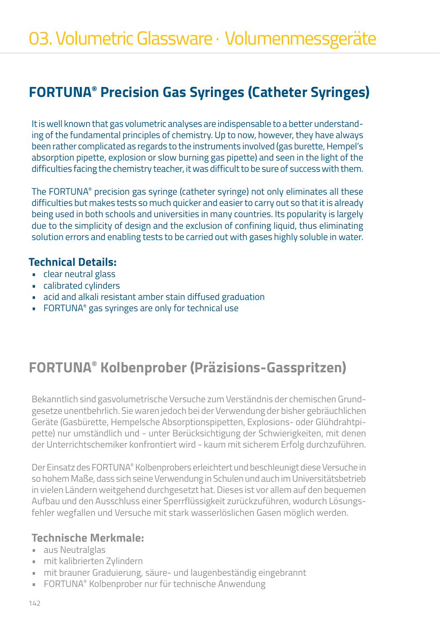# **FORTUNA® Precision Gas Syringes (Catheter Syringes)**

It is well known that gas volumetric analyses are indispensable to a better understanding of the fundamental principles of chemistry. Up to now, however, they have always been rather complicated as regards to the instruments involved (gas burette, Hempel's absorption pipette, explosion or slow burning gas pipette) and seen in the light of the difficulties facing the chemistry teacher, it was difficult to be sure of success with them.

The FORTUNA® precision gas syringe (catheter syringe) not only eliminates all these difficulties but makes tests so much quicker and easier to carry out so that it is already being used in both schools and universities in many countries. Its popularity is largely due to the simplicity of design and the exclusion of confining liquid, thus eliminating solution errors and enabling tests to be carried out with gases highly soluble in water.

#### **Technical Details:**

- clear neutral glass
- calibrated cylinders
- acid and alkali resistant amber stain diffused graduation
- FORTUNA® gas syringes are only for technical use

# **FORTUNA® Kolbenprober (Präzisions-Gasspritzen)**

Bekanntlich sind gasvolumetrische Versuche zum Verständnis der chemischen Grundgesetze unentbehrlich. Sie waren jedoch bei der Verwendung der bisher gebräuchlichen Geräte (Gasbürette, Hempelsche Absorptionspipetten, Explosions- oder Glühdrahtpipette) nur umständlich und - unter Berücksichtigung der Schwierigkeiten, mit denen der Unterrichtschemiker konfrontiert wird - kaum mit sicherem Erfolg durchzuführen.

Der Einsatz des FORTUNA® Kolbenprobers erleichtert und beschleunigt diese Versuche in so hohem Maße, dass sich seine Verwendung in Schulen und auch im Universitätsbetrieb in vielen Ländern weitgehend durchgesetzt hat. Dieses ist vor allem auf den bequemen Aufbau und den Ausschluss einer Sperrflüssigkeit zurückzuführen, wodurch Lösungsfehler wegfallen und Versuche mit stark wasserlöslichen Gasen möglich werden.

#### **Technische Merkmale:**

- aus Neutralglas
- mit kalibrierten Zylindern
- mit brauner Graduierung, säure- und laugenbeständig eingebrannt
- FORTUNA® Kolbenprober nur für technische Anwendung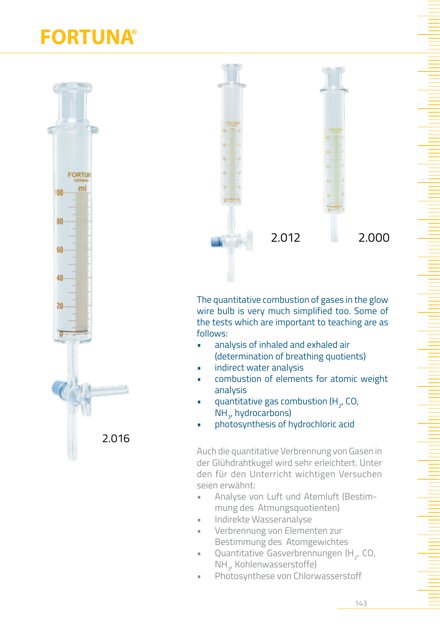# **FORTUNA®**





The quantitative combustion of gases in the glow wire bulb is very much simplified too. Some of the tests which are important to teaching are as follows:

- analysis of inhaled and exhaled air (determination of breathing quotients)
- indirect water analysis
- combustion of elements for atomic weight analysis
- **•** quantitative gas combustion ( $H_{2}$ , CO, NH<sub>3</sub>, hydrocarbons)
- photosynthesis of hydrochloric acid

Auch die quantitative Verbrennung von Gasen in der Glühdrahtkugel wird sehr erleichtert. Unter den für den Unterricht wichtigen Versuchen seien erwähnt:

- Analyse von Luft und Atemluft (Bestimmung des Atmungsquotienten)
- Indirekte Wasseranalyse
- Verbrennung von Elementen zur Bestimmung des Atomgewichtes
- **•** Quantitative Gasverbrennungen (H<sub>2</sub>, CO, NH<sub>3</sub>, Kohlenwasserstoffe)
- Photosynthese von Chlorwasserstoff

143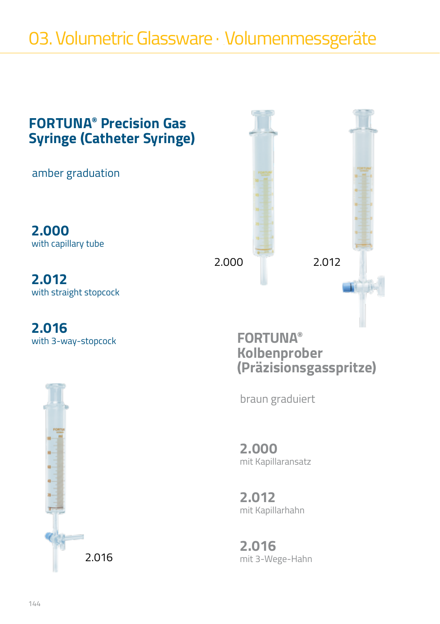# 03. Volumetric Glassware · Volumenmessgeräte



**2.000** mit Kapillaransatz

**2.012** mit Kapillarhahn

**2.016** mit 3-Wege-Hahn

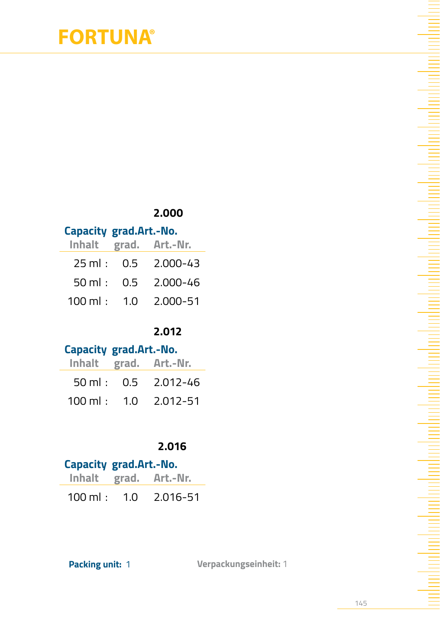# **FORTUNA®**

#### **2.000**

#### **Capacity grad.Art.-No.**

|  | Inhalt grad. Art.-Nr.         |
|--|-------------------------------|
|  | $25 \text{ ml}: 0.5 2.000-43$ |
|  | 50 ml : 0.5 2.000-46          |
|  | 100 ml: 1.0 2.000-51          |

#### **2.012**

#### **Capacity grad.Art.-No.**

|  | Inhalt grad. Art.-Nr.                 |
|--|---------------------------------------|
|  | $50 \text{ ml}: 0.5 2.012 - 46$       |
|  | $100 \text{ ml}$ : $1.0$ $2.012 - 51$ |

#### **2.016**

### **Capacity grad.Art.-No. Inhalt grad. Art.-Nr.**  100 ml : 1.0 2.016-51

**Packing unit:** 1 **Verpackungseinheit:** 1

145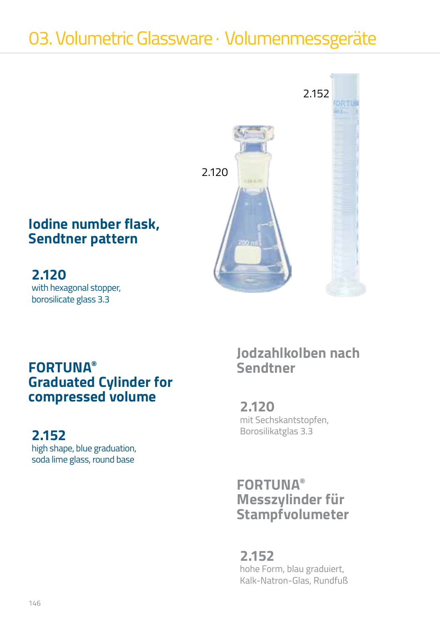# 03. Volumetric Glassware · Volumenmessgeräte



## **Iodine number flask, Sendtner pattern**

**2.120** with hexagonal stopper, borosilicate glass 3.3

## $FORTUNA<sup>®</sup>$ **Graduated Cylinder for compressed volume**

## **2.152**

high shape, blue graduation, soda lime glass, round base

# **Jodzahlkolben nach**

**2.120** mit Sechskantstopfen, Borosilikatglas 3.3

## **FORTUNA® Messzylinder für Stampfvolumeter**

**2.152** hohe Form, blau graduiert, Kalk-Natron-Glas, Rundfuß